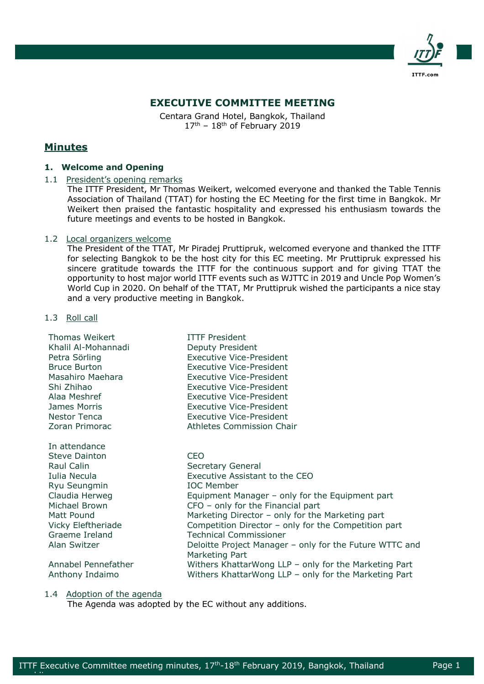

# **EXECUTIVE COMMITTEE MEETING**

Centara Grand Hotel, Bangkok, Thailand  $17<sup>th</sup>$  –  $18<sup>th</sup>$  of February 2019

# **Minutes**

# **1. Welcome and Opening**

# 1.1 President's opening remarks

The ITTF President, Mr Thomas Weikert, welcomed everyone and thanked the Table Tennis Association of Thailand (TTAT) for hosting the EC Meeting for the first time in Bangkok. Mr Weikert then praised the fantastic hospitality and expressed his enthusiasm towards the future meetings and events to be hosted in Bangkok.

# 1.2 Local organizers welcome

The President of the TTAT, Mr Piradej Pruttipruk, welcomed everyone and thanked the ITTF for selecting Bangkok to be the host city for this EC meeting. Mr Pruttipruk expressed his sincere gratitude towards the ITTF for the continuous support and for giving TTAT the opportunity to host major world ITTF events such as WJTTC in 2019 and Uncle Pop Women's World Cup in 2020. On behalf of the TTAT, Mr Pruttipruk wished the participants a nice stay and a very productive meeting in Bangkok.

# 1.3 Roll call

| Thomas Weikert<br>Khalil Al-Mohannadi<br>Petra Sörling<br><b>Bruce Burton</b><br>Masahiro Maehara<br>Shi Zhihao<br>Alaa Meshref<br>James Morris<br>Nestor Tenca<br>Zoran Primorac | <b>ITTF President</b><br>Deputy President<br><b>Executive Vice-President</b><br><b>Executive Vice-President</b><br><b>Executive Vice-President</b><br><b>Executive Vice-President</b><br><b>Executive Vice-President</b><br><b>Executive Vice-President</b><br>Executive Vice-President<br>Athletes Commission Chair |
|-----------------------------------------------------------------------------------------------------------------------------------------------------------------------------------|----------------------------------------------------------------------------------------------------------------------------------------------------------------------------------------------------------------------------------------------------------------------------------------------------------------------|
| In attendance                                                                                                                                                                     |                                                                                                                                                                                                                                                                                                                      |
| <b>Steve Dainton</b>                                                                                                                                                              | <b>CEO</b>                                                                                                                                                                                                                                                                                                           |
| Raul Calin                                                                                                                                                                        | Secretary General                                                                                                                                                                                                                                                                                                    |
| Iulia Necula                                                                                                                                                                      | Executive Assistant to the CEO                                                                                                                                                                                                                                                                                       |
| Ryu Seungmin                                                                                                                                                                      | <b>IOC</b> Member                                                                                                                                                                                                                                                                                                    |
| Claudia Herweg                                                                                                                                                                    | Equipment Manager - only for the Equipment part                                                                                                                                                                                                                                                                      |
| Michael Brown                                                                                                                                                                     | $CFO - only$ for the Financial part                                                                                                                                                                                                                                                                                  |
| Matt Pound                                                                                                                                                                        | Marketing Director - only for the Marketing part                                                                                                                                                                                                                                                                     |
| Vicky Eleftheriade                                                                                                                                                                | Competition Director $-$ only for the Competition part                                                                                                                                                                                                                                                               |
| Graeme Ireland                                                                                                                                                                    | <b>Technical Commissioner</b>                                                                                                                                                                                                                                                                                        |
| Alan Switzer                                                                                                                                                                      | Deloitte Project Manager – only for the Future WTTC and<br>Marketing Part                                                                                                                                                                                                                                            |
| Annabel Pennefather                                                                                                                                                               | Withers KhattarWong LLP $-$ only for the Marketing Part                                                                                                                                                                                                                                                              |
| Anthony Indaimo                                                                                                                                                                   | Withers KhattarWong LLP $-$ only for the Marketing Part                                                                                                                                                                                                                                                              |

1.4 Adoption of the agenda

epublik di Afrika.<br>Perus

The Agenda was adopted by the EC without any additions.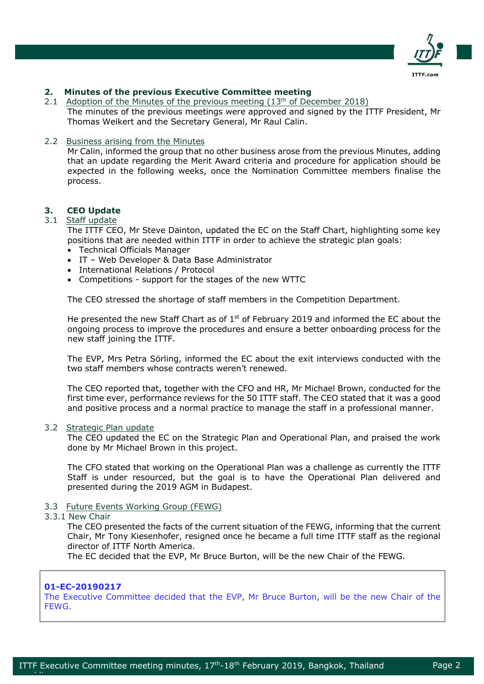

# **2. Minutes of the previous Executive Committee meeting**

2.1 Adoption of the Minutes of the previous meeting (13<sup>th</sup> of December 2018) The minutes of the previous meetings were approved and signed by the ITTF President, Mr Thomas Weikert and the Secretary General, Mr Raul Calin.

# 2.2 Business arising from the Minutes

Mr Calin, informed the group that no other business arose from the previous Minutes, adding that an update regarding the Merit Award criteria and procedure for application should be expected in the following weeks, once the Nomination Committee members finalise the process.

# **3. CEO Update**

# 3.1 Staff update

The ITTF CEO, Mr Steve Dainton, updated the EC on the Staff Chart, highlighting some key positions that are needed within ITTF in order to achieve the strategic plan goals:

- Technical Officials Manager
- IT Web Developer & Data Base Administrator
- International Relations / Protocol
- Competitions support for the stages of the new WTTC

The CEO stressed the shortage of staff members in the Competition Department.

He presented the new Staff Chart as of  $1<sup>st</sup>$  of February 2019 and informed the EC about the ongoing process to improve the procedures and ensure a better onboarding process for the new staff joining the ITTF.

The EVP, Mrs Petra Sörling, informed the EC about the exit interviews conducted with the two staff members whose contracts weren't renewed.

The CEO reported that, together with the CFO and HR, Mr Michael Brown, conducted for the first time ever, performance reviews for the 50 ITTF staff. The CEO stated that it was a good and positive process and a normal practice to manage the staff in a professional manner.

# 3.2 Strategic Plan update

The CEO updated the EC on the Strategic Plan and Operational Plan, and praised the work done by Mr Michael Brown in this project.

The CFO stated that working on the Operational Plan was a challenge as currently the ITTF Staff is under resourced, but the goal is to have the Operational Plan delivered and presented during the 2019 AGM in Budapest.

# 3.3 Future Events Working Group (FEWG)

# 3.3.1 New Chair

The CEO presented the facts of the current situation of the FEWG, informing that the current Chair, Mr Tony Kiesenhofer, resigned once he became a full time ITTF staff as the regional director of ITTF North America.

The EC decided that the EVP, Mr Bruce Burton, will be the new Chair of the FEWG.

# **01-EC-20190217**

epublik di Afrika.<br>Perus

The Executive Committee decided that the EVP, Mr Bruce Burton, will be the new Chair of the FEWG.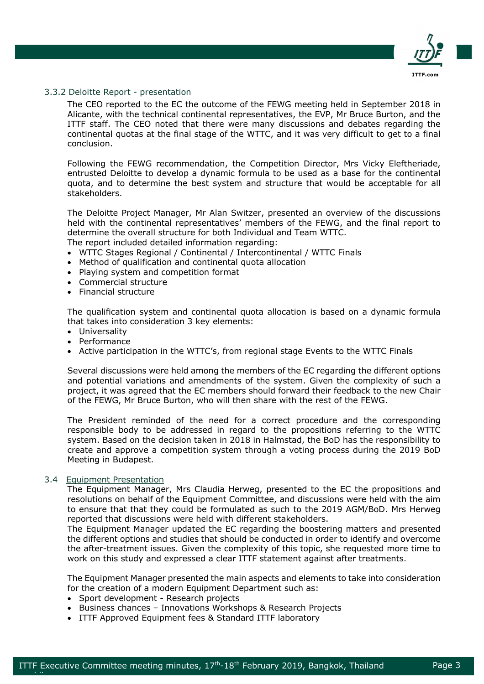

# 3.3.2 Deloitte Report - presentation

The CEO reported to the EC the outcome of the FEWG meeting held in September 2018 in Alicante, with the technical continental representatives, the EVP, Mr Bruce Burton, and the ITTF staff. The CEO noted that there were many discussions and debates regarding the continental quotas at the final stage of the WTTC, and it was very difficult to get to a final conclusion.

Following the FEWG recommendation, the Competition Director, Mrs Vicky Eleftheriade, entrusted Deloitte to develop a dynamic formula to be used as a base for the continental quota, and to determine the best system and structure that would be acceptable for all stakeholders.

The Deloitte Project Manager, Mr Alan Switzer, presented an overview of the discussions held with the continental representatives' members of the FEWG, and the final report to determine the overall structure for both Individual and Team WTTC. The report included detailed information regarding:

- WTTC Stages Regional / Continental / Intercontinental / WTTC Finals
- Method of qualification and continental quota allocation
- Playing system and competition format
- Commercial structure
- Financial structure

The qualification system and continental quota allocation is based on a dynamic formula that takes into consideration 3 key elements:

- Universality
- Performance
- Active participation in the WTTC's, from regional stage Events to the WTTC Finals

Several discussions were held among the members of the EC regarding the different options and potential variations and amendments of the system. Given the complexity of such a project, it was agreed that the EC members should forward their feedback to the new Chair of the FEWG, Mr Bruce Burton, who will then share with the rest of the FEWG.

The President reminded of the need for a correct procedure and the corresponding responsible body to be addressed in regard to the propositions referring to the WTTC system. Based on the decision taken in 2018 in Halmstad, the BoD has the responsibility to create and approve a competition system through a voting process during the 2019 BoD Meeting in Budapest.

### 3.4 Equipment Presentation

epublik di Afrika.<br>Perus

The Equipment Manager, Mrs Claudia Herweg, presented to the EC the propositions and resolutions on behalf of the Equipment Committee, and discussions were held with the aim to ensure that that they could be formulated as such to the 2019 AGM/BoD. Mrs Herweg reported that discussions were held with different stakeholders.

The Equipment Manager updated the EC regarding the boostering matters and presented the different options and studies that should be conducted in order to identify and overcome the after-treatment issues. Given the complexity of this topic, she requested more time to work on this study and expressed a clear ITTF statement against after treatments.

The Equipment Manager presented the main aspects and elements to take into consideration for the creation of a modern Equipment Department such as:

- Sport development Research projects
- Business chances Innovations Workshops & Research Projects
- ITTF Approved Equipment fees & Standard ITTF laboratory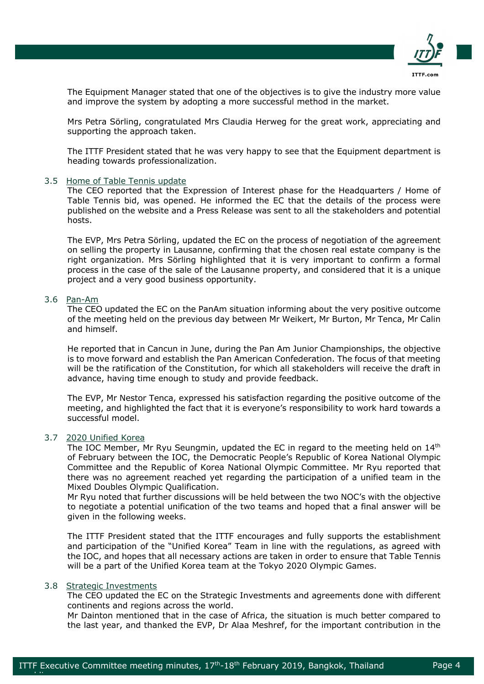

The Equipment Manager stated that one of the objectives is to give the industry more value and improve the system by adopting a more successful method in the market.

Mrs Petra Sörling, congratulated Mrs Claudia Herweg for the great work, appreciating and supporting the approach taken.

The ITTF President stated that he was very happy to see that the Equipment department is heading towards professionalization.

### 3.5 Home of Table Tennis update

The CEO reported that the Expression of Interest phase for the Headquarters / Home of Table Tennis bid, was opened. He informed the EC that the details of the process were published on the website and a Press Release was sent to all the stakeholders and potential hosts.

The EVP, Mrs Petra Sörling, updated the EC on the process of negotiation of the agreement on selling the property in Lausanne, confirming that the chosen real estate company is the right organization. Mrs Sörling highlighted that it is very important to confirm a formal process in the case of the sale of the Lausanne property, and considered that it is a unique project and a very good business opportunity.

# 3.6 Pan-Am

The CEO updated the EC on the PanAm situation informing about the very positive outcome of the meeting held on the previous day between Mr Weikert, Mr Burton, Mr Tenca, Mr Calin and himself.

He reported that in Cancun in June, during the Pan Am Junior Championships, the objective is to move forward and establish the Pan American Confederation. The focus of that meeting will be the ratification of the Constitution, for which all stakeholders will receive the draft in advance, having time enough to study and provide feedback.

The EVP, Mr Nestor Tenca, expressed his satisfaction regarding the positive outcome of the meeting, and highlighted the fact that it is everyone's responsibility to work hard towards a successful model.

### 3.7 2020 Unified Korea

The IOC Member, Mr Ryu Seungmin, updated the EC in regard to the meeting held on 14<sup>th</sup> of February between the IOC, the Democratic People's Republic of Korea National Olympic Committee and the Republic of Korea National Olympic Committee. Mr Ryu reported that there was no agreement reached yet regarding the participation of a unified team in the Mixed Doubles Olympic Qualification.

Mr Ryu noted that further discussions will be held between the two NOC's with the objective to negotiate a potential unification of the two teams and hoped that a final answer will be given in the following weeks.

The ITTF President stated that the ITTF encourages and fully supports the establishment and participation of the "Unified Korea" Team in line with the regulations, as agreed with the IOC, and hopes that all necessary actions are taken in order to ensure that Table Tennis will be a part of the Unified Korea team at the Tokyo 2020 Olympic Games.

# 3.8 Strategic Investments

epublik di Afrika.<br>Perus

The CEO updated the EC on the Strategic Investments and agreements done with different continents and regions across the world.

Mr Dainton mentioned that in the case of Africa, the situation is much better compared to the last year, and thanked the EVP, Dr Alaa Meshref, for the important contribution in the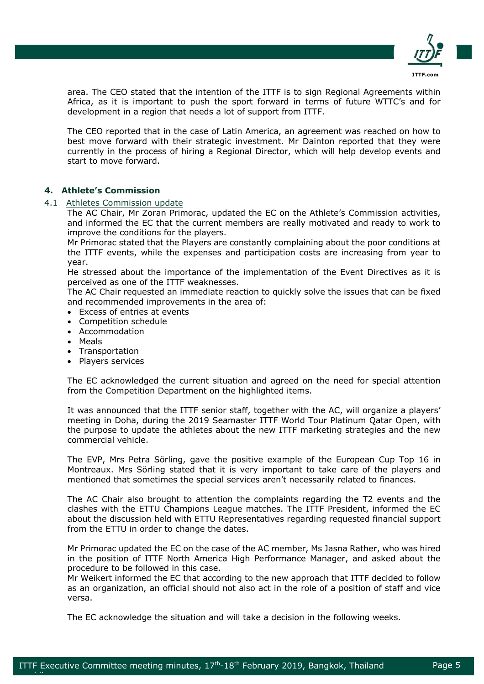

area. The CEO stated that the intention of the ITTF is to sign Regional Agreements within Africa, as it is important to push the sport forward in terms of future WTTC's and for development in a region that needs a lot of support from ITTF.

The CEO reported that in the case of Latin America, an agreement was reached on how to best move forward with their strategic investment. Mr Dainton reported that they were currently in the process of hiring a Regional Director, which will help develop events and start to move forward.

# **4. Athlete's Commission**

# 4.1 Athletes Commission update

The AC Chair, Mr Zoran Primorac, updated the EC on the Athlete's Commission activities, and informed the EC that the current members are really motivated and ready to work to improve the conditions for the players.

Mr Primorac stated that the Players are constantly complaining about the poor conditions at the ITTF events, while the expenses and participation costs are increasing from year to year.

He stressed about the importance of the implementation of the Event Directives as it is perceived as one of the ITTF weaknesses.

The AC Chair requested an immediate reaction to quickly solve the issues that can be fixed and recommended improvements in the area of:

- Excess of entries at events
- Competition schedule
- Accommodation
- Meals

epublik di Afrika.<br>Perus

- Transportation
- Players services

The EC acknowledged the current situation and agreed on the need for special attention from the Competition Department on the highlighted items.

It was announced that the ITTF senior staff, together with the AC, will organize a players' meeting in Doha, during the 2019 Seamaster ITTF World Tour Platinum Qatar Open, with the purpose to update the athletes about the new ITTF marketing strategies and the new commercial vehicle.

The EVP, Mrs Petra Sörling, gave the positive example of the European Cup Top 16 in Montreaux. Mrs Sörling stated that it is very important to take care of the players and mentioned that sometimes the special services aren't necessarily related to finances.

The AC Chair also brought to attention the complaints regarding the T2 events and the clashes with the ETTU Champions League matches. The ITTF President, informed the EC about the discussion held with ETTU Representatives regarding requested financial support from the ETTU in order to change the dates.

Mr Primorac updated the EC on the case of the AC member, Ms Jasna Rather, who was hired in the position of ITTF North America High Performance Manager, and asked about the procedure to be followed in this case.

Mr Weikert informed the EC that according to the new approach that ITTF decided to follow as an organization, an official should not also act in the role of a position of staff and vice versa.

The EC acknowledge the situation and will take a decision in the following weeks.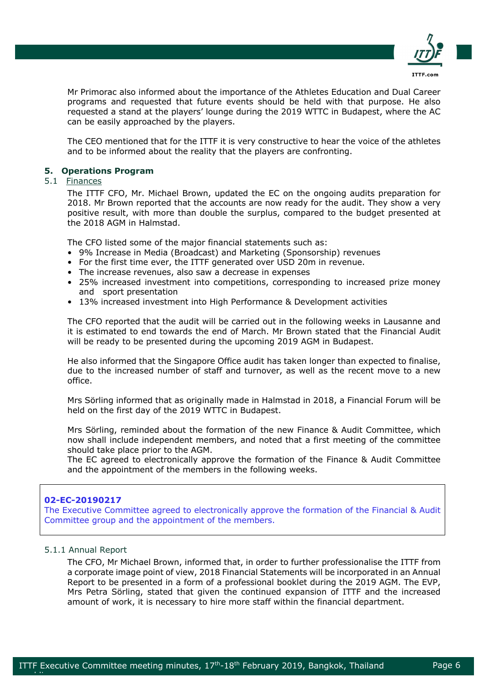

Mr Primorac also informed about the importance of the Athletes Education and Dual Career programs and requested that future events should be held with that purpose. He also requested a stand at the players' lounge during the 2019 WTTC in Budapest, where the AC can be easily approached by the players.

The CEO mentioned that for the ITTF it is very constructive to hear the voice of the athletes and to be informed about the reality that the players are confronting.

# **5. Operations Program**

### 5.1 Finances

The ITTF CFO, Mr. Michael Brown, updated the EC on the ongoing audits preparation for 2018. Mr Brown reported that the accounts are now ready for the audit. They show a very positive result, with more than double the surplus, compared to the budget presented at the 2018 AGM in Halmstad.

The CFO listed some of the major financial statements such as:

- 9% Increase in Media (Broadcast) and Marketing (Sponsorship) revenues
- For the first time ever, the ITTF generated over USD 20m in revenue.
- The increase revenues, also saw a decrease in expenses
- 25% increased investment into competitions, corresponding to increased prize money and sport presentation
- 13% increased investment into High Performance & Development activities

The CFO reported that the audit will be carried out in the following weeks in Lausanne and it is estimated to end towards the end of March. Mr Brown stated that the Financial Audit will be ready to be presented during the upcoming 2019 AGM in Budapest.

He also informed that the Singapore Office audit has taken longer than expected to finalise, due to the increased number of staff and turnover, as well as the recent move to a new office.

Mrs Sörling informed that as originally made in Halmstad in 2018, a Financial Forum will be held on the first day of the 2019 WTTC in Budapest.

Mrs Sörling, reminded about the formation of the new Finance & Audit Committee, which now shall include independent members, and noted that a first meeting of the committee should take place prior to the AGM.

The EC agreed to electronically approve the formation of the Finance & Audit Committee and the appointment of the members in the following weeks.

# **02-EC-20190217**

The Executive Committee agreed to electronically approve the formation of the Financial & Audit Committee group and the appointment of the members.

# 5.1.1 Annual Report

epublik di Afrika.<br>Perus

The CFO, Mr Michael Brown, informed that, in order to further professionalise the ITTF from a corporate image point of view, 2018 Financial Statements will be incorporated in an Annual Report to be presented in a form of a professional booklet during the 2019 AGM. The EVP, Mrs Petra Sörling, stated that given the continued expansion of ITTF and the increased amount of work, it is necessary to hire more staff within the financial department.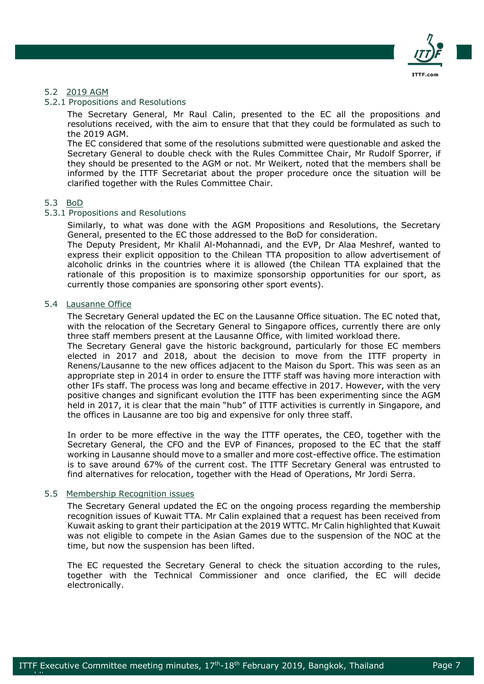

# 5.2 2019 AGM

# 5.2.1 Propositions and Resolutions

The Secretary General, Mr Raul Calin, presented to the EC all the propositions and resolutions received, with the aim to ensure that that they could be formulated as such to the 2019 AGM.

The EC considered that some of the resolutions submitted were questionable and asked the Secretary General to double check with the Rules Committee Chair, Mr Rudolf Sporrer, if they should be presented to the AGM or not. Mr Weikert, noted that the members shall be informed by the ITTF Secretariat about the proper procedure once the situation will be clarified together with the Rules Committee Chair.

### 5.3 BoD

# 5.3.1 Propositions and Resolutions

Similarly, to what was done with the AGM Propositions and Resolutions, the Secretary General, presented to the EC those addressed to the BoD for consideration.

The Deputy President, Mr Khalil Al-Mohannadi, and the EVP, Dr Alaa Meshref, wanted to express their explicit opposition to the Chilean TTA proposition to allow advertisement of alcoholic drinks in the countries where it is allowed (the Chilean TTA explained that the rationale of this proposition is to maximize sponsorship opportunities for our sport, as currently those companies are sponsoring other sport events).

# 5.4 Lausanne Office

The Secretary General updated the EC on the Lausanne Office situation. The EC noted that, with the relocation of the Secretary General to Singapore offices, currently there are only three staff members present at the Lausanne Office, with limited workload there.

The Secretary General gave the historic background, particularly for those EC members elected in 2017 and 2018, about the decision to move from the ITTF property in Renens/Lausanne to the new offices adjacent to the Maison du Sport. This was seen as an appropriate step in 2014 in order to ensure the ITTF staff was having more interaction with other IFs staff. The process was long and became effective in 2017. However, with the very positive changes and significant evolution the ITTF has been experimenting since the AGM held in 2017, it is clear that the main "hub" of ITTF activities is currently in Singapore, and the offices in Lausanne are too big and expensive for only three staff.

In order to be more effective in the way the ITTF operates, the CEO, together with the Secretary General, the CFO and the EVP of Finances, proposed to the EC that the staff working in Lausanne should move to a smaller and more cost-effective office. The estimation is to save around 67% of the current cost. The ITTF Secretary General was entrusted to find alternatives for relocation, together with the Head of Operations, Mr Jordi Serra.

# 5.5 Membership Recognition issues

epublik di Afrika.<br>Perus

The Secretary General updated the EC on the ongoing process regarding the membership recognition issues of Kuwait TTA. Mr Calin explained that a request has been received from Kuwait asking to grant their participation at the 2019 WTTC. Mr Calin highlighted that Kuwait was not eligible to compete in the Asian Games due to the suspension of the NOC at the time, but now the suspension has been lifted.

The EC requested the Secretary General to check the situation according to the rules, together with the Technical Commissioner and once clarified, the EC will decide electronically.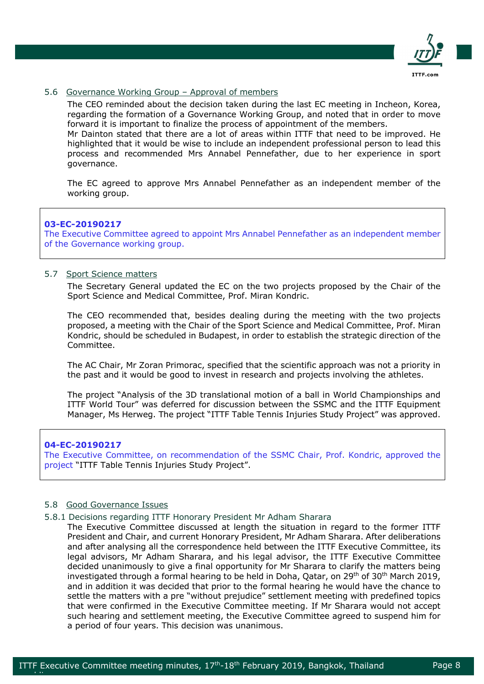

# 5.6 Governance Working Group – Approval of members

The CEO reminded about the decision taken during the last EC meeting in Incheon, Korea, regarding the formation of a Governance Working Group, and noted that in order to move forward it is important to finalize the process of appointment of the members.

Mr Dainton stated that there are a lot of areas within ITTF that need to be improved. He highlighted that it would be wise to include an independent professional person to lead this process and recommended Mrs Annabel Pennefather, due to her experience in sport governance.

The EC agreed to approve Mrs Annabel Pennefather as an independent member of the working group.

### **03-EC-20190217**

The Executive Committee agreed to appoint Mrs Annabel Pennefather as an independent member of the Governance working group.

# 5.7 Sport Science matters

The Secretary General updated the EC on the two projects proposed by the Chair of the Sport Science and Medical Committee, Prof. Miran Kondric.

The CEO recommended that, besides dealing during the meeting with the two projects proposed, a meeting with the Chair of the Sport Science and Medical Committee, Prof. Miran Kondric, should be scheduled in Budapest, in order to establish the strategic direction of the Committee.

The AC Chair, Mr Zoran Primorac, specified that the scientific approach was not a priority in the past and it would be good to invest in research and projects involving the athletes.

The project "Analysis of the 3D translational motion of a ball in World Championships and ITTF World Tour" was deferred for discussion between the SSMC and the ITTF Equipment Manager, Ms Herweg. The project "ITTF Table Tennis Injuries Study Project" was approved.

### **04-EC-20190217**

epublik di Afrika.<br>Perus

The Executive Committee, on recommendation of the SSMC Chair, Prof. Kondric, approved the project "ITTF Table Tennis Injuries Study Project".

# 5.8 Good Governance Issues

### 5.8.1 Decisions regarding ITTF Honorary President Mr Adham Sharara

The Executive Committee discussed at length the situation in regard to the former ITTF President and Chair, and current Honorary President, Mr Adham Sharara. After deliberations and after analysing all the correspondence held between the ITTF Executive Committee, its legal advisors, Mr Adham Sharara, and his legal advisor, the ITTF Executive Committee decided unanimously to give a final opportunity for Mr Sharara to clarify the matters being investigated through a formal hearing to be held in Doha, Oatar, on  $29<sup>th</sup>$  of 30<sup>th</sup> March 2019, and in addition it was decided that prior to the formal hearing he would have the chance to settle the matters with a pre "without prejudice" settlement meeting with predefined topics that were confirmed in the Executive Committee meeting. If Mr Sharara would not accept such hearing and settlement meeting, the Executive Committee agreed to suspend him for a period of four years. This decision was unanimous.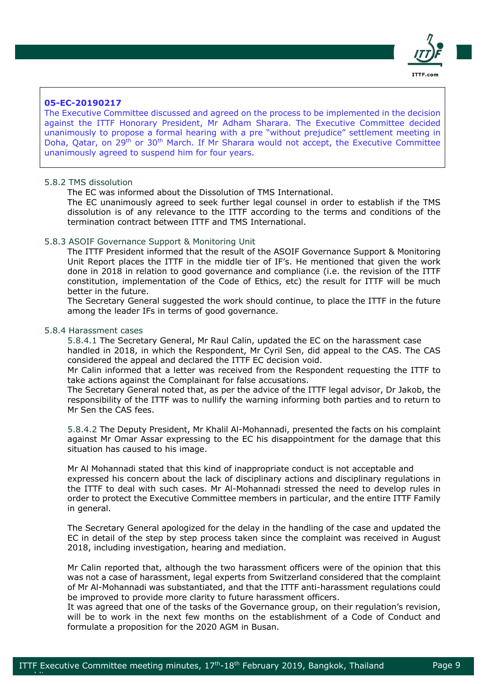

# **05-EC-20190217**

The Executive Committee discussed and agreed on the process to be implemented in the decision against the ITTF Honorary President, Mr Adham Sharara. The Executive Committee decided unanimously to propose a formal hearing with a pre "without prejudice" settlement meeting in Doha, Qatar, on 29th or 30th March. If Mr Sharara would not accept, the Executive Committee unanimously agreed to suspend him for four years.

# 5.8.2 TMS dissolution

The EC was informed about the Dissolution of TMS International.

The EC unanimously agreed to seek further legal counsel in order to establish if the TMS dissolution is of any relevance to the ITTF according to the terms and conditions of the termination contract between ITTF and TMS International.

#### 5.8.3 ASOIF Governance Support & Monitoring Unit

The ITTF President informed that the result of the ASOIF Governance Support & Monitoring Unit Report places the ITTF in the middle tier of IF's. He mentioned that given the work done in 2018 in relation to good governance and compliance (i.e. the revision of the ITTF constitution, implementation of the Code of Ethics, etc) the result for ITTF will be much better in the future.

The Secretary General suggested the work should continue, to place the ITTF in the future among the leader IFs in terms of good governance.

#### 5.8.4 Harassment cases

epublik di Afrika.<br>Perus

5.8.4.1 The Secretary General, Mr Raul Calin, updated the EC on the harassment case handled in 2018, in which the Respondent, Mr Cyril Sen, did appeal to the CAS. The CAS considered the appeal and declared the ITTF EC decision void.

Mr Calin informed that a letter was received from the Respondent requesting the ITTF to take actions against the Complainant for false accusations.

The Secretary General noted that, as per the advice of the ITTF legal advisor, Dr Jakob, the responsibility of the ITTF was to nullify the warning informing both parties and to return to Mr Sen the CAS fees.

5.8.4.2 The Deputy President, Mr Khalil Al-Mohannadi, presented the facts on his complaint against Mr Omar Assar expressing to the EC his disappointment for the damage that this situation has caused to his image.

Mr Al Mohannadi stated that this kind of inappropriate conduct is not acceptable and expressed his concern about the lack of disciplinary actions and disciplinary regulations in the ITTF to deal with such cases. Mr Al-Mohannadi stressed the need to develop rules in order to protect the Executive Committee members in particular, and the entire ITTF Family in general.

The Secretary General apologized for the delay in the handling of the case and updated the EC in detail of the step by step process taken since the complaint was received in August 2018, including investigation, hearing and mediation.

Mr Calin reported that, although the two harassment officers were of the opinion that this was not a case of harassment, legal experts from Switzerland considered that the complaint of Mr Al-Mohannadi was substantiated, and that the ITTF anti-harassment regulations could be improved to provide more clarity to future harassment officers.

It was agreed that one of the tasks of the Governance group, on their regulation's revision, will be to work in the next few months on the establishment of a Code of Conduct and formulate a proposition for the 2020 AGM in Busan.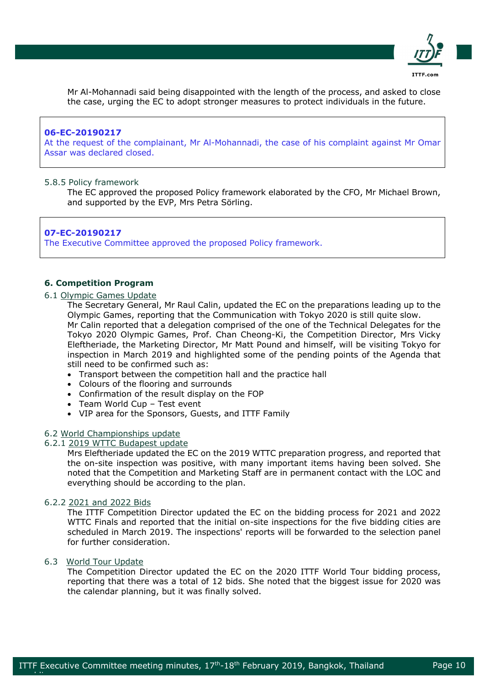

Mr Al-Mohannadi said being disappointed with the length of the process, and asked to close the case, urging the EC to adopt stronger measures to protect individuals in the future.

### **06-EC-20190217**

At the request of the complainant, Mr Al-Mohannadi, the case of his complaint against Mr Omar Assar was declared closed.

# 5.8.5 Policy framework

The EC approved the proposed Policy framework elaborated by the CFO, Mr Michael Brown, and supported by the EVP, Mrs Petra Sörling.

## **07-EC-20190217** The Executive Committee approved the proposed Policy framework.

# **6. Competition Program**

# 6.1 Olympic Games Update

The Secretary General, Mr Raul Calin, updated the EC on the preparations leading up to the Olympic Games, reporting that the Communication with Tokyo 2020 is still quite slow. Mr Calin reported that a delegation comprised of the one of the Technical Delegates for the Tokyo 2020 Olympic Games, Prof. Chan Cheong-Ki, the Competition Director, Mrs Vicky Eleftheriade, the Marketing Director, Mr Matt Pound and himself, will be visiting Tokyo for inspection in March 2019 and highlighted some of the pending points of the Agenda that still need to be confirmed such as:

- Transport between the competition hall and the practice hall
- Colours of the flooring and surrounds
- Confirmation of the result display on the FOP
- Team World Cup Test event
- VIP area for the Sponsors, Guests, and ITTF Family

#### 6.2 World Championships update

# 6.2.1 2019 WTTC Budapest update

Mrs Eleftheriade updated the EC on the 2019 WTTC preparation progress, and reported that the on-site inspection was positive, with many important items having been solved. She noted that the Competition and Marketing Staff are in permanent contact with the LOC and everything should be according to the plan.

#### 6.2.2 2021 and 2022 Bids

The ITTF Competition Director updated the EC on the bidding process for 2021 and 2022 WTTC Finals and reported that the initial on-site inspections for the five bidding cities are scheduled in March 2019. The inspections' reports will be forwarded to the selection panel for further consideration.

# 6.3 World Tour Update

epublik di Afrika.<br>Perus

The Competition Director updated the EC on the 2020 ITTF World Tour bidding process, reporting that there was a total of 12 bids. She noted that the biggest issue for 2020 was the calendar planning, but it was finally solved.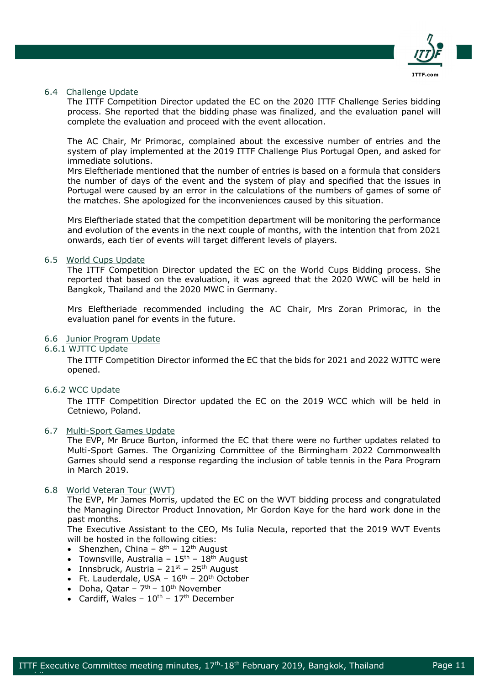

# 6.4 Challenge Update

The ITTF Competition Director updated the EC on the 2020 ITTF Challenge Series bidding process. She reported that the bidding phase was finalized, and the evaluation panel will complete the evaluation and proceed with the event allocation.

The AC Chair, Mr Primorac, complained about the excessive number of entries and the system of play implemented at the 2019 ITTF Challenge Plus Portugal Open, and asked for immediate solutions.

Mrs Eleftheriade mentioned that the number of entries is based on a formula that considers the number of days of the event and the system of play and specified that the issues in Portugal were caused by an error in the calculations of the numbers of games of some of the matches. She apologized for the inconveniences caused by this situation.

Mrs Eleftheriade stated that the competition department will be monitoring the performance and evolution of the events in the next couple of months, with the intention that from 2021 onwards, each tier of events will target different levels of players.

### 6.5 World Cups Update

The ITTF Competition Director updated the EC on the World Cups Bidding process. She reported that based on the evaluation, it was agreed that the 2020 WWC will be held in Bangkok, Thailand and the 2020 MWC in Germany.

Mrs Eleftheriade recommended including the AC Chair, Mrs Zoran Primorac, in the evaluation panel for events in the future.

# 6.6 Junior Program Update

6.6.1 WJTTC Update

The ITTF Competition Director informed the EC that the bids for 2021 and 2022 WJTTC were opened.

6.6.2 WCC Update

epublik di Afrika.<br>Perus

The ITTF Competition Director updated the EC on the 2019 WCC which will be held in Cetniewo, Poland.

# 6.7 Multi-Sport Games Update

The EVP, Mr Bruce Burton, informed the EC that there were no further updates related to Multi-Sport Games. The Organizing Committee of the Birmingham 2022 Commonwealth Games should send a response regarding the inclusion of table tennis in the Para Program in March 2019.

# 6.8 World Veteran Tour (WVT)

The EVP, Mr James Morris, updated the EC on the WVT bidding process and congratulated the Managing Director Product Innovation, Mr Gordon Kaye for the hard work done in the past months.

The Executive Assistant to the CEO, Ms Iulia Necula, reported that the 2019 WVT Events will be hosted in the following cities:

- Shenzhen, China  $8^{th}$   $12^{th}$  August
- Townsville, Australia  $15^{\text{th}}$   $18^{\text{th}}$  August
- Innsbruck, Austria  $21^{st}$   $25^{th}$  August
- Ft. Lauderdale, USA  $16<sup>th</sup>$   $20<sup>th</sup>$  October
- Doha, Qatar  $7<sup>th</sup>$   $10<sup>th</sup>$  November
- Cardiff, Wales  $10^{th}$   $17^{th}$  December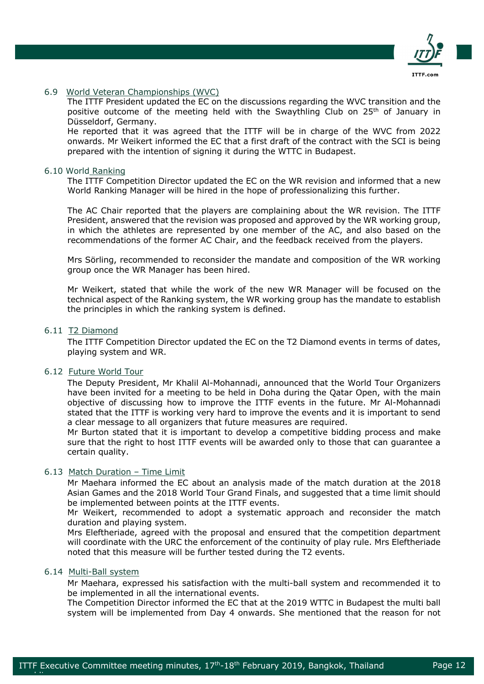

# 6.9 World Veteran Championships (WVC)

The ITTF President updated the EC on the discussions regarding the WVC transition and the positive outcome of the meeting held with the Swaythling Club on  $25<sup>th</sup>$  of January in Düsseldorf, Germany.

He reported that it was agreed that the ITTF will be in charge of the WVC from 2022 onwards. Mr Weikert informed the EC that a first draft of the contract with the SCI is being prepared with the intention of signing it during the WTTC in Budapest.

### 6.10 World Ranking

The ITTF Competition Director updated the EC on the WR revision and informed that a new World Ranking Manager will be hired in the hope of professionalizing this further.

The AC Chair reported that the players are complaining about the WR revision. The ITTF President, answered that the revision was proposed and approved by the WR working group, in which the athletes are represented by one member of the AC, and also based on the recommendations of the former AC Chair, and the feedback received from the players.

Mrs Sörling, recommended to reconsider the mandate and composition of the WR working group once the WR Manager has been hired.

Mr Weikert, stated that while the work of the new WR Manager will be focused on the technical aspect of the Ranking system, the WR working group has the mandate to establish the principles in which the ranking system is defined.

# 6.11 T2 Diamond

The ITTF Competition Director updated the EC on the T2 Diamond events in terms of dates, playing system and WR.

# 6.12 Future World Tour

The Deputy President, Mr Khalil Al-Mohannadi, announced that the World Tour Organizers have been invited for a meeting to be held in Doha during the Qatar Open, with the main objective of discussing how to improve the ITTF events in the future. Mr Al-Mohannadi stated that the ITTF is working very hard to improve the events and it is important to send a clear message to all organizers that future measures are required.

Mr Burton stated that it is important to develop a competitive bidding process and make sure that the right to host ITTF events will be awarded only to those that can guarantee a certain quality.

# 6.13 Match Duration – Time Limit

Mr Maehara informed the EC about an analysis made of the match duration at the 2018 Asian Games and the 2018 World Tour Grand Finals, and suggested that a time limit should be implemented between points at the ITTF events.

Mr Weikert, recommended to adopt a systematic approach and reconsider the match duration and playing system.

Mrs Eleftheriade, agreed with the proposal and ensured that the competition department will coordinate with the URC the enforcement of the continuity of play rule. Mrs Eleftheriade noted that this measure will be further tested during the T2 events.

# 6.14 Multi-Ball system

epublik di Afrika.<br>Perus

Mr Maehara, expressed his satisfaction with the multi-ball system and recommended it to be implemented in all the international events.

The Competition Director informed the EC that at the 2019 WTTC in Budapest the multi ball system will be implemented from Day 4 onwards. She mentioned that the reason for not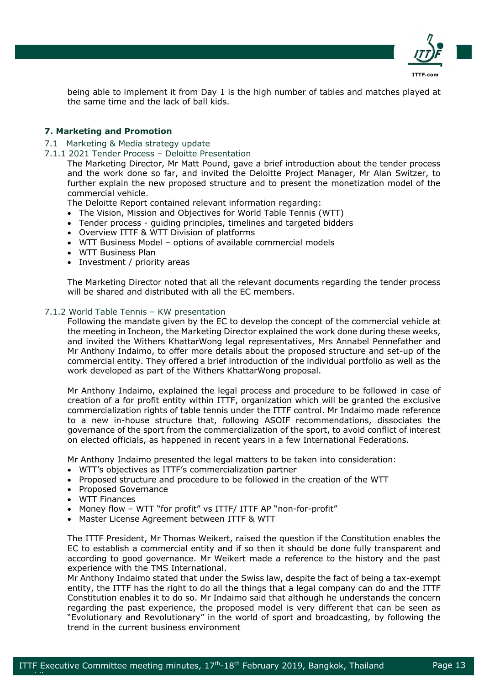

being able to implement it from Day 1 is the high number of tables and matches played at the same time and the lack of ball kids.

# **7. Marketing and Promotion**

- 7.1 Marketing & Media strategy update
- 7.1.1 2021 Tender Process Deloitte Presentation

The Marketing Director, Mr Matt Pound, gave a brief introduction about the tender process and the work done so far, and invited the Deloitte Project Manager, Mr Alan Switzer, to further explain the new proposed structure and to present the monetization model of the commercial vehicle.

The Deloitte Report contained relevant information regarding:

- The Vision, Mission and Objectives for World Table Tennis (WTT)
- Tender process guiding principles, timelines and targeted bidders
- Overview ITTF & WTT Division of platforms
- WTT Business Model options of available commercial models
- WTT Business Plan
- Investment / priority areas

The Marketing Director noted that all the relevant documents regarding the tender process will be shared and distributed with all the EC members.

#### 7.1.2 World Table Tennis – KW presentation

Following the mandate given by the EC to develop the concept of the commercial vehicle at the meeting in Incheon, the Marketing Director explained the work done during these weeks, and invited the Withers KhattarWong legal representatives, Mrs Annabel Pennefather and Mr Anthony Indaimo, to offer more details about the proposed structure and set-up of the commercial entity. They offered a brief introduction of the individual portfolio as well as the work developed as part of the Withers KhattarWong proposal.

Mr Anthony Indaimo, explained the legal process and procedure to be followed in case of creation of a for profit entity within ITTF, organization which will be granted the exclusive commercialization rights of table tennis under the ITTF control. Mr Indaimo made reference to a new in-house structure that, following ASOIF recommendations, dissociates the governance of the sport from the commercialization of the sport, to avoid conflict of interest on elected officials, as happened in recent years in a few International Federations.

Mr Anthony Indaimo presented the legal matters to be taken into consideration:

- WTT's objectives as ITTF's commercialization partner
- Proposed structure and procedure to be followed in the creation of the WTT
- Proposed Governance
- WTT Finances

epublik di Afrika.<br>Perus

- Money flow WTT "for profit" vs ITTF/ ITTF AP "non-for-profit"
- Master License Agreement between ITTF & WTT

The ITTF President, Mr Thomas Weikert, raised the question if the Constitution enables the EC to establish a commercial entity and if so then it should be done fully transparent and according to good governance. Mr Weikert made a reference to the history and the past experience with the TMS International.

Mr Anthony Indaimo stated that under the Swiss law, despite the fact of being a tax-exempt entity, the ITTF has the right to do all the things that a legal company can do and the ITTF Constitution enables it to do so. Mr Indaimo said that although he understands the concern regarding the past experience, the proposed model is very different that can be seen as "Evolutionary and Revolutionary" in the world of sport and broadcasting, by following the trend in the current business environment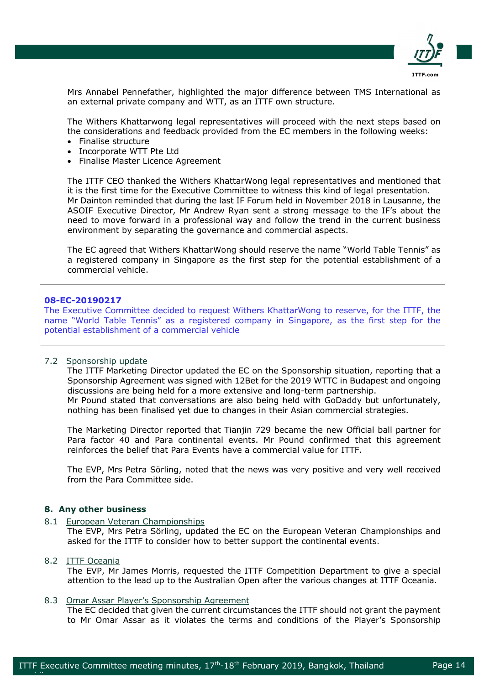

Mrs Annabel Pennefather, highlighted the major difference between TMS International as an external private company and WTT, as an ITTF own structure.

The Withers Khattarwong legal representatives will proceed with the next steps based on the considerations and feedback provided from the EC members in the following weeks:

- Finalise structure
- Incorporate WTT Pte Ltd
- Finalise Master Licence Agreement

The ITTF CEO thanked the Withers KhattarWong legal representatives and mentioned that it is the first time for the Executive Committee to witness this kind of legal presentation. Mr Dainton reminded that during the last IF Forum held in November 2018 in Lausanne, the ASOIF Executive Director, Mr Andrew Ryan sent a strong message to the IF's about the need to move forward in a professional way and follow the trend in the current business environment by separating the governance and commercial aspects.

The EC agreed that Withers KhattarWong should reserve the name "World Table Tennis" as a registered company in Singapore as the first step for the potential establishment of a commercial vehicle.

# **08-EC-20190217**

The Executive Committee decided to request Withers KhattarWong to reserve, for the ITTF, the name "World Table Tennis" as a registered company in Singapore, as the first step for the potential establishment of a commercial vehicle

# 7.2 Sponsorship update

The ITTF Marketing Director updated the EC on the Sponsorship situation, reporting that a Sponsorship Agreement was signed with 12Bet for the 2019 WTTC in Budapest and ongoing discussions are being held for a more extensive and long-term partnership. Mr Pound stated that conversations are also being held with GoDaddy but unfortunately, nothing has been finalised yet due to changes in their Asian commercial strategies.

The Marketing Director reported that Tianjin 729 became the new Official ball partner for Para factor 40 and Para continental events. Mr Pound confirmed that this agreement reinforces the belief that Para Events have a commercial value for ITTF.

The EVP, Mrs Petra Sörling, noted that the news was very positive and very well received from the Para Committee side.

### **8. Any other business**

8.1 European Veteran Championships

The EVP, Mrs Petra Sörling, updated the EC on the European Veteran Championships and asked for the ITTF to consider how to better support the continental events.

# 8.2 ITTF Oceania

epublik di Afrika.<br>Perus

The EVP, Mr James Morris, requested the ITTF Competition Department to give a special attention to the lead up to the Australian Open after the various changes at ITTF Oceania.

### 8.3 Omar Assar Player's Sponsorship Agreement

The EC decided that given the current circumstances the ITTF should not grant the payment to Mr Omar Assar as it violates the terms and conditions of the Player's Sponsorship